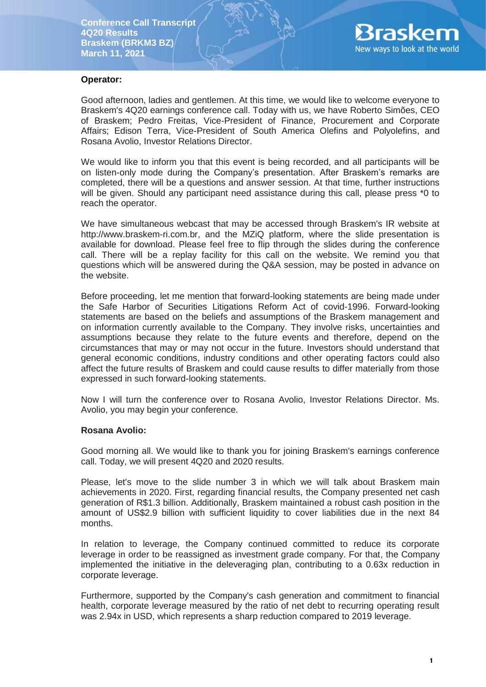

#### **Operator:**

Good afternoon, ladies and gentlemen. At this time, we would like to welcome everyone to Braskem's 4Q20 earnings conference call. Today with us, we have Roberto Simões, CEO of Braskem; Pedro Freitas, Vice-President of Finance, Procurement and Corporate Affairs; Edison Terra, Vice-President of South America Olefins and Polyolefins, and Rosana Avolio, Investor Relations Director.

We would like to inform you that this event is being recorded, and all participants will be on listen-only mode during the Company's presentation. After Braskem's remarks are completed, there will be a questions and answer session. At that time, further instructions will be given. Should any participant need assistance during this call, please press \*0 to reach the operator.

We have simultaneous webcast that may be accessed through Braskem's IR website at http://www.braskem-ri.com.br, and the MZiQ platform, where the slide presentation is available for download. Please feel free to flip through the slides during the conference call. There will be a replay facility for this call on the website. We remind you that questions which will be answered during the Q&A session, may be posted in advance on the website.

Before proceeding, let me mention that forward-looking statements are being made under the Safe Harbor of Securities Litigations Reform Act of covid-1996. Forward-looking statements are based on the beliefs and assumptions of the Braskem management and on information currently available to the Company. They involve risks, uncertainties and assumptions because they relate to the future events and therefore, depend on the circumstances that may or may not occur in the future. Investors should understand that general economic conditions, industry conditions and other operating factors could also affect the future results of Braskem and could cause results to differ materially from those expressed in such forward-looking statements.

Now I will turn the conference over to Rosana Avolio, Investor Relations Director. Ms. Avolio, you may begin your conference.

#### **Rosana Avolio:**

Good morning all. We would like to thank you for joining Braskem's earnings conference call. Today, we will present 4Q20 and 2020 results.

Please, let's move to the slide number 3 in which we will talk about Braskem main achievements in 2020. First, regarding financial results, the Company presented net cash generation of R\$1.3 billion. Additionally, Braskem maintained a robust cash position in the amount of US\$2.9 billion with sufficient liquidity to cover liabilities due in the next 84 months.

In relation to leverage, the Company continued committed to reduce its corporate leverage in order to be reassigned as investment grade company. For that, the Company implemented the initiative in the deleveraging plan, contributing to a 0.63x reduction in corporate leverage.

Furthermore, supported by the Company's cash generation and commitment to financial health, corporate leverage measured by the ratio of net debt to recurring operating result was 2.94x in USD, which represents a sharp reduction compared to 2019 leverage.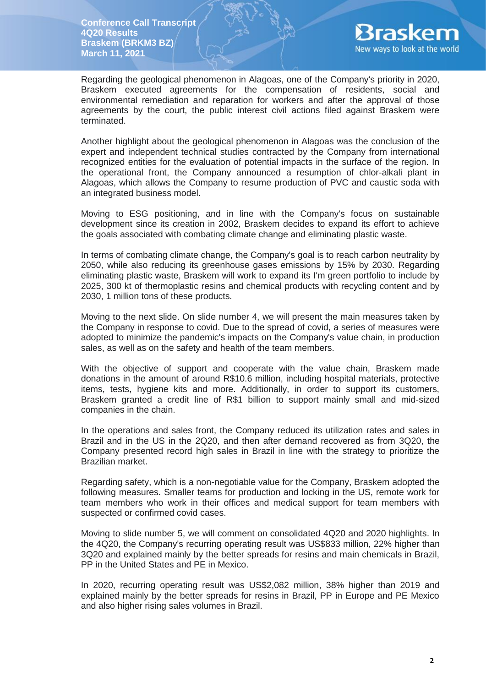

Regarding the geological phenomenon in Alagoas, one of the Company's priority in 2020, Braskem executed agreements for the compensation of residents, social and environmental remediation and reparation for workers and after the approval of those agreements by the court, the public interest civil actions filed against Braskem were terminated.

Another highlight about the geological phenomenon in Alagoas was the conclusion of the expert and independent technical studies contracted by the Company from international recognized entities for the evaluation of potential impacts in the surface of the region. In the operational front, the Company announced a resumption of chlor-alkali plant in Alagoas, which allows the Company to resume production of PVC and caustic soda with an integrated business model.

Moving to ESG positioning, and in line with the Company's focus on sustainable development since its creation in 2002, Braskem decides to expand its effort to achieve the goals associated with combating climate change and eliminating plastic waste.

In terms of combating climate change, the Company's goal is to reach carbon neutrality by 2050, while also reducing its greenhouse gases emissions by 15% by 2030. Regarding eliminating plastic waste, Braskem will work to expand its I'm green portfolio to include by 2025, 300 kt of thermoplastic resins and chemical products with recycling content and by 2030, 1 million tons of these products.

Moving to the next slide. On slide number 4, we will present the main measures taken by the Company in response to covid. Due to the spread of covid, a series of measures were adopted to minimize the pandemic's impacts on the Company's value chain, in production sales, as well as on the safety and health of the team members.

With the objective of support and cooperate with the value chain, Braskem made donations in the amount of around R\$10.6 million, including hospital materials, protective items, tests, hygiene kits and more. Additionally, in order to support its customers, Braskem granted a credit line of R\$1 billion to support mainly small and mid-sized companies in the chain.

In the operations and sales front, the Company reduced its utilization rates and sales in Brazil and in the US in the 2Q20, and then after demand recovered as from 3Q20, the Company presented record high sales in Brazil in line with the strategy to prioritize the Brazilian market.

Regarding safety, which is a non-negotiable value for the Company, Braskem adopted the following measures. Smaller teams for production and locking in the US, remote work for team members who work in their offices and medical support for team members with suspected or confirmed covid cases.

Moving to slide number 5, we will comment on consolidated 4Q20 and 2020 highlights. In the 4Q20, the Company's recurring operating result was US\$833 million, 22% higher than 3Q20 and explained mainly by the better spreads for resins and main chemicals in Brazil, PP in the United States and PE in Mexico.

In 2020, recurring operating result was US\$2,082 million, 38% higher than 2019 and explained mainly by the better spreads for resins in Brazil, PP in Europe and PE Mexico and also higher rising sales volumes in Brazil.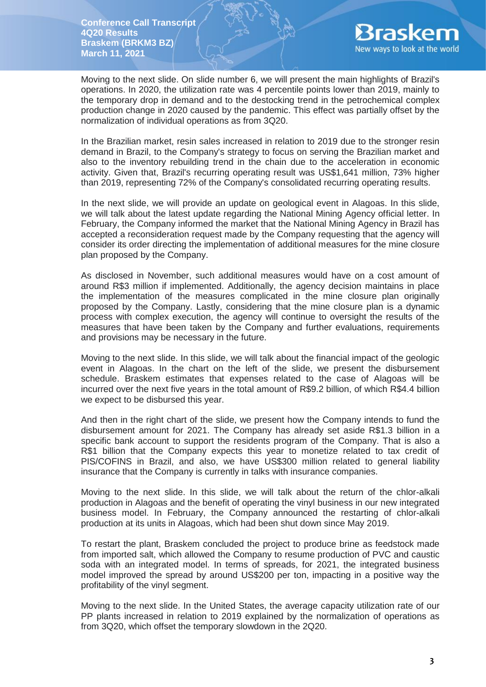

Moving to the next slide. On slide number 6, we will present the main highlights of Brazil's operations. In 2020, the utilization rate was 4 percentile points lower than 2019, mainly to the temporary drop in demand and to the destocking trend in the petrochemical complex production change in 2020 caused by the pandemic. This effect was partially offset by the normalization of individual operations as from 3Q20.

In the Brazilian market, resin sales increased in relation to 2019 due to the stronger resin demand in Brazil, to the Company's strategy to focus on serving the Brazilian market and also to the inventory rebuilding trend in the chain due to the acceleration in economic activity. Given that, Brazil's recurring operating result was US\$1,641 million, 73% higher than 2019, representing 72% of the Company's consolidated recurring operating results.

In the next slide, we will provide an update on geological event in Alagoas. In this slide, we will talk about the latest update regarding the National Mining Agency official letter. In February, the Company informed the market that the National Mining Agency in Brazil has accepted a reconsideration request made by the Company requesting that the agency will consider its order directing the implementation of additional measures for the mine closure plan proposed by the Company.

As disclosed in November, such additional measures would have on a cost amount of around R\$3 million if implemented. Additionally, the agency decision maintains in place the implementation of the measures complicated in the mine closure plan originally proposed by the Company. Lastly, considering that the mine closure plan is a dynamic process with complex execution, the agency will continue to oversight the results of the measures that have been taken by the Company and further evaluations, requirements and provisions may be necessary in the future.

Moving to the next slide. In this slide, we will talk about the financial impact of the geologic event in Alagoas. In the chart on the left of the slide, we present the disbursement schedule. Braskem estimates that expenses related to the case of Alagoas will be incurred over the next five years in the total amount of R\$9.2 billion, of which R\$4.4 billion we expect to be disbursed this year.

And then in the right chart of the slide, we present how the Company intends to fund the disbursement amount for 2021. The Company has already set aside R\$1.3 billion in a specific bank account to support the residents program of the Company. That is also a R\$1 billion that the Company expects this year to monetize related to tax credit of PIS/COFINS in Brazil, and also, we have US\$300 million related to general liability insurance that the Company is currently in talks with insurance companies.

Moving to the next slide. In this slide, we will talk about the return of the chlor-alkali production in Alagoas and the benefit of operating the vinyl business in our new integrated business model. In February, the Company announced the restarting of chlor-alkali production at its units in Alagoas, which had been shut down since May 2019.

To restart the plant, Braskem concluded the project to produce brine as feedstock made from imported salt, which allowed the Company to resume production of PVC and caustic soda with an integrated model. In terms of spreads, for 2021, the integrated business model improved the spread by around US\$200 per ton, impacting in a positive way the profitability of the vinyl segment.

Moving to the next slide. In the United States, the average capacity utilization rate of our PP plants increased in relation to 2019 explained by the normalization of operations as from 3Q20, which offset the temporary slowdown in the 2Q20.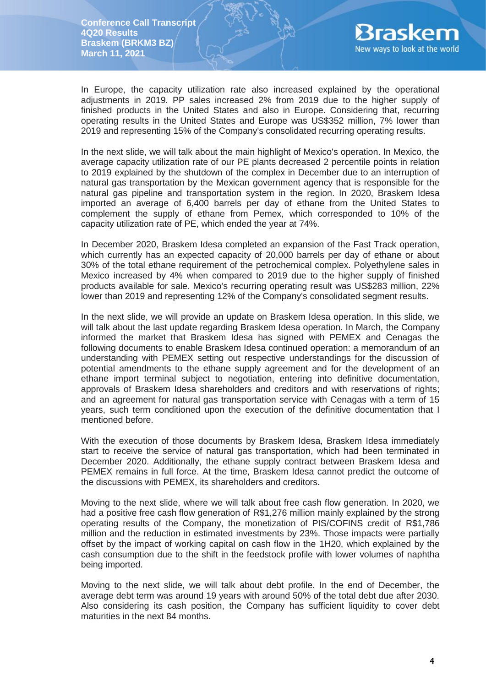

In Europe, the capacity utilization rate also increased explained by the operational adjustments in 2019. PP sales increased 2% from 2019 due to the higher supply of finished products in the United States and also in Europe. Considering that, recurring operating results in the United States and Europe was US\$352 million, 7% lower than 2019 and representing 15% of the Company's consolidated recurring operating results.

In the next slide, we will talk about the main highlight of Mexico's operation. In Mexico, the average capacity utilization rate of our PE plants decreased 2 percentile points in relation to 2019 explained by the shutdown of the complex in December due to an interruption of natural gas transportation by the Mexican government agency that is responsible for the natural gas pipeline and transportation system in the region. In 2020, Braskem Idesa imported an average of 6,400 barrels per day of ethane from the United States to complement the supply of ethane from Pemex, which corresponded to 10% of the capacity utilization rate of PE, which ended the year at 74%.

In December 2020, Braskem Idesa completed an expansion of the Fast Track operation, which currently has an expected capacity of 20,000 barrels per day of ethane or about 30% of the total ethane requirement of the petrochemical complex. Polyethylene sales in Mexico increased by 4% when compared to 2019 due to the higher supply of finished products available for sale. Mexico's recurring operating result was US\$283 million, 22% lower than 2019 and representing 12% of the Company's consolidated segment results.

In the next slide, we will provide an update on Braskem Idesa operation. In this slide, we will talk about the last update regarding Braskem Idesa operation. In March, the Company informed the market that Braskem Idesa has signed with PEMEX and Cenagas the following documents to enable Braskem Idesa continued operation: a memorandum of an understanding with PEMEX setting out respective understandings for the discussion of potential amendments to the ethane supply agreement and for the development of an ethane import terminal subject to negotiation, entering into definitive documentation, approvals of Braskem Idesa shareholders and creditors and with reservations of rights; and an agreement for natural gas transportation service with Cenagas with a term of 15 years, such term conditioned upon the execution of the definitive documentation that I mentioned before.

With the execution of those documents by Braskem Idesa, Braskem Idesa immediately start to receive the service of natural gas transportation, which had been terminated in December 2020. Additionally, the ethane supply contract between Braskem Idesa and PEMEX remains in full force. At the time, Braskem Idesa cannot predict the outcome of the discussions with PEMEX, its shareholders and creditors.

Moving to the next slide, where we will talk about free cash flow generation. In 2020, we had a positive free cash flow generation of R\$1,276 million mainly explained by the strong operating results of the Company, the monetization of PIS/COFINS credit of R\$1,786 million and the reduction in estimated investments by 23%. Those impacts were partially offset by the impact of working capital on cash flow in the 1H20, which explained by the cash consumption due to the shift in the feedstock profile with lower volumes of naphtha being imported.

Moving to the next slide, we will talk about debt profile. In the end of December, the average debt term was around 19 years with around 50% of the total debt due after 2030. Also considering its cash position, the Company has sufficient liquidity to cover debt maturities in the next 84 months.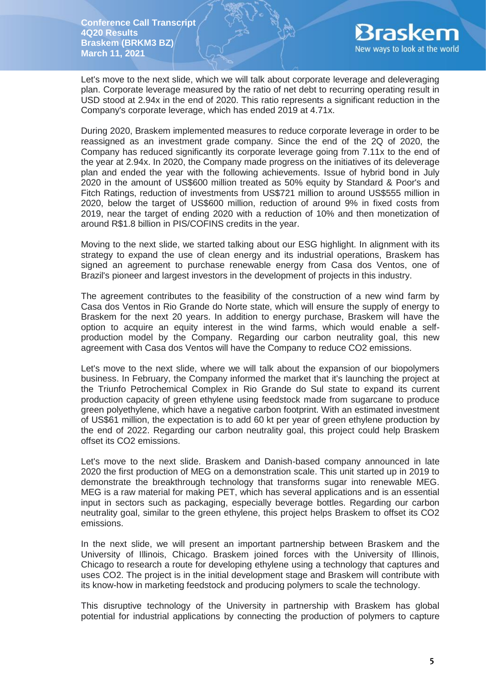

Let's move to the next slide, which we will talk about corporate leverage and deleveraging plan. Corporate leverage measured by the ratio of net debt to recurring operating result in USD stood at 2.94x in the end of 2020. This ratio represents a significant reduction in the Company's corporate leverage, which has ended 2019 at 4.71x.

During 2020, Braskem implemented measures to reduce corporate leverage in order to be reassigned as an investment grade company. Since the end of the 2Q of 2020, the Company has reduced significantly its corporate leverage going from 7.11x to the end of the year at 2.94x. In 2020, the Company made progress on the initiatives of its deleverage plan and ended the year with the following achievements. Issue of hybrid bond in July 2020 in the amount of US\$600 million treated as 50% equity by Standard & Poor's and Fitch Ratings, reduction of investments from US\$721 million to around US\$555 million in 2020, below the target of US\$600 million, reduction of around 9% in fixed costs from 2019, near the target of ending 2020 with a reduction of 10% and then monetization of around R\$1.8 billion in PIS/COFINS credits in the year.

Moving to the next slide, we started talking about our ESG highlight. In alignment with its strategy to expand the use of clean energy and its industrial operations, Braskem has signed an agreement to purchase renewable energy from Casa dos Ventos, one of Brazil's pioneer and largest investors in the development of projects in this industry.

The agreement contributes to the feasibility of the construction of a new wind farm by Casa dos Ventos in Rio Grande do Norte state, which will ensure the supply of energy to Braskem for the next 20 years. In addition to energy purchase, Braskem will have the option to acquire an equity interest in the wind farms, which would enable a selfproduction model by the Company. Regarding our carbon neutrality goal, this new agreement with Casa dos Ventos will have the Company to reduce CO2 emissions.

Let's move to the next slide, where we will talk about the expansion of our biopolymers business. In February, the Company informed the market that it's launching the project at the Triunfo Petrochemical Complex in Rio Grande do Sul state to expand its current production capacity of green ethylene using feedstock made from sugarcane to produce green polyethylene, which have a negative carbon footprint. With an estimated investment of US\$61 million, the expectation is to add 60 kt per year of green ethylene production by the end of 2022. Regarding our carbon neutrality goal, this project could help Braskem offset its CO2 emissions.

Let's move to the next slide. Braskem and Danish-based company announced in late 2020 the first production of MEG on a demonstration scale. This unit started up in 2019 to demonstrate the breakthrough technology that transforms sugar into renewable MEG. MEG is a raw material for making PET, which has several applications and is an essential input in sectors such as packaging, especially beverage bottles. Regarding our carbon neutrality goal, similar to the green ethylene, this project helps Braskem to offset its CO2 emissions.

In the next slide, we will present an important partnership between Braskem and the University of Illinois, Chicago. Braskem joined forces with the University of Illinois, Chicago to research a route for developing ethylene using a technology that captures and uses CO2. The project is in the initial development stage and Braskem will contribute with its know-how in marketing feedstock and producing polymers to scale the technology.

This disruptive technology of the University in partnership with Braskem has global potential for industrial applications by connecting the production of polymers to capture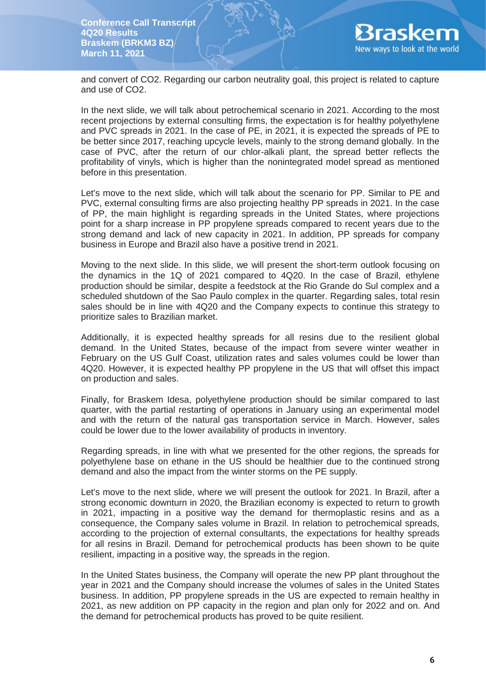

and convert of CO2. Regarding our carbon neutrality goal, this project is related to capture and use of CO2.

In the next slide, we will talk about petrochemical scenario in 2021. According to the most recent projections by external consulting firms, the expectation is for healthy polyethylene and PVC spreads in 2021. In the case of PE, in 2021, it is expected the spreads of PE to be better since 2017, reaching upcycle levels, mainly to the strong demand globally. In the case of PVC, after the return of our chlor-alkali plant, the spread better reflects the profitability of vinyls, which is higher than the nonintegrated model spread as mentioned before in this presentation.

Let's move to the next slide, which will talk about the scenario for PP. Similar to PE and PVC, external consulting firms are also projecting healthy PP spreads in 2021. In the case of PP, the main highlight is regarding spreads in the United States, where projections point for a sharp increase in PP propylene spreads compared to recent years due to the strong demand and lack of new capacity in 2021. In addition, PP spreads for company business in Europe and Brazil also have a positive trend in 2021.

Moving to the next slide. In this slide, we will present the short-term outlook focusing on the dynamics in the 1Q of 2021 compared to 4Q20. In the case of Brazil, ethylene production should be similar, despite a feedstock at the Rio Grande do Sul complex and a scheduled shutdown of the Sao Paulo complex in the quarter. Regarding sales, total resin sales should be in line with 4Q20 and the Company expects to continue this strategy to prioritize sales to Brazilian market.

Additionally, it is expected healthy spreads for all resins due to the resilient global demand. In the United States, because of the impact from severe winter weather in February on the US Gulf Coast, utilization rates and sales volumes could be lower than 4Q20. However, it is expected healthy PP propylene in the US that will offset this impact on production and sales.

Finally, for Braskem Idesa, polyethylene production should be similar compared to last quarter, with the partial restarting of operations in January using an experimental model and with the return of the natural gas transportation service in March. However, sales could be lower due to the lower availability of products in inventory.

Regarding spreads, in line with what we presented for the other regions, the spreads for polyethylene base on ethane in the US should be healthier due to the continued strong demand and also the impact from the winter storms on the PE supply.

Let's move to the next slide, where we will present the outlook for 2021. In Brazil, after a strong economic downturn in 2020, the Brazilian economy is expected to return to growth in 2021, impacting in a positive way the demand for thermoplastic resins and as a consequence, the Company sales volume in Brazil. In relation to petrochemical spreads, according to the projection of external consultants, the expectations for healthy spreads for all resins in Brazil. Demand for petrochemical products has been shown to be quite resilient, impacting in a positive way, the spreads in the region.

In the United States business, the Company will operate the new PP plant throughout the year in 2021 and the Company should increase the volumes of sales in the United States business. In addition, PP propylene spreads in the US are expected to remain healthy in 2021, as new addition on PP capacity in the region and plan only for 2022 and on. And the demand for petrochemical products has proved to be quite resilient.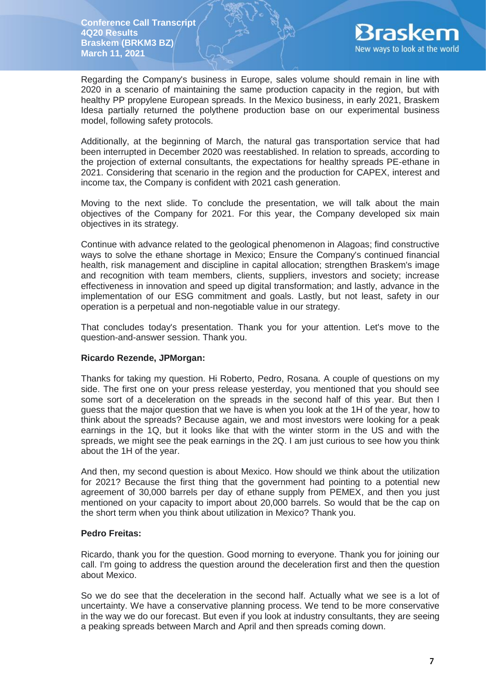

Regarding the Company's business in Europe, sales volume should remain in line with 2020 in a scenario of maintaining the same production capacity in the region, but with healthy PP propylene European spreads. In the Mexico business, in early 2021, Braskem Idesa partially returned the polythene production base on our experimental business model, following safety protocols.

Additionally, at the beginning of March, the natural gas transportation service that had been interrupted in December 2020 was reestablished. In relation to spreads, according to the projection of external consultants, the expectations for healthy spreads PE-ethane in 2021. Considering that scenario in the region and the production for CAPEX, interest and income tax, the Company is confident with 2021 cash generation.

Moving to the next slide. To conclude the presentation, we will talk about the main objectives of the Company for 2021. For this year, the Company developed six main objectives in its strategy.

Continue with advance related to the geological phenomenon in Alagoas; find constructive ways to solve the ethane shortage in Mexico; Ensure the Company's continued financial health, risk management and discipline in capital allocation; strengthen Braskem's image and recognition with team members, clients, suppliers, investors and society; increase effectiveness in innovation and speed up digital transformation; and lastly, advance in the implementation of our ESG commitment and goals. Lastly, but not least, safety in our operation is a perpetual and non-negotiable value in our strategy.

That concludes today's presentation. Thank you for your attention. Let's move to the question-and-answer session. Thank you.

# **Ricardo Rezende, JPMorgan:**

Thanks for taking my question. Hi Roberto, Pedro, Rosana. A couple of questions on my side. The first one on your press release yesterday, you mentioned that you should see some sort of a deceleration on the spreads in the second half of this year. But then I guess that the major question that we have is when you look at the 1H of the year, how to think about the spreads? Because again, we and most investors were looking for a peak earnings in the 1Q, but it looks like that with the winter storm in the US and with the spreads, we might see the peak earnings in the 2Q. I am just curious to see how you think about the 1H of the year.

And then, my second question is about Mexico. How should we think about the utilization for 2021? Because the first thing that the government had pointing to a potential new agreement of 30,000 barrels per day of ethane supply from PEMEX, and then you just mentioned on your capacity to import about 20,000 barrels. So would that be the cap on the short term when you think about utilization in Mexico? Thank you.

### **Pedro Freitas:**

Ricardo, thank you for the question. Good morning to everyone. Thank you for joining our call. I'm going to address the question around the deceleration first and then the question about Mexico.

So we do see that the deceleration in the second half. Actually what we see is a lot of uncertainty. We have a conservative planning process. We tend to be more conservative in the way we do our forecast. But even if you look at industry consultants, they are seeing a peaking spreads between March and April and then spreads coming down.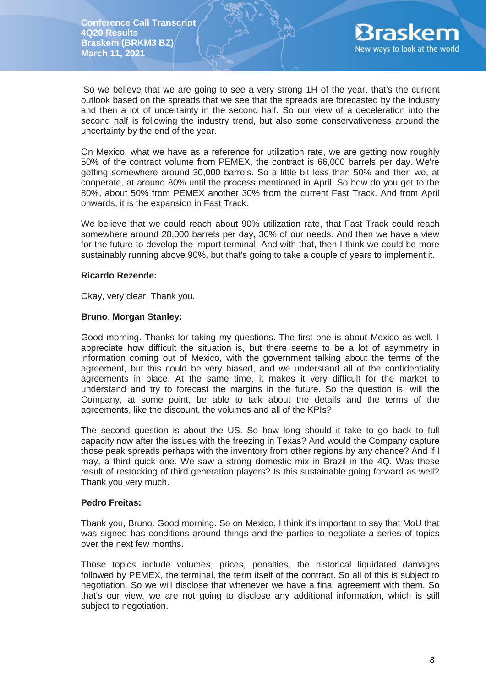

So we believe that we are going to see a very strong 1H of the year, that's the current outlook based on the spreads that we see that the spreads are forecasted by the industry and then a lot of uncertainty in the second half. So our view of a deceleration into the second half is following the industry trend, but also some conservativeness around the uncertainty by the end of the year.

On Mexico, what we have as a reference for utilization rate, we are getting now roughly 50% of the contract volume from PEMEX, the contract is 66,000 barrels per day. We're getting somewhere around 30,000 barrels. So a little bit less than 50% and then we, at cooperate, at around 80% until the process mentioned in April. So how do you get to the 80%, about 50% from PEMEX another 30% from the current Fast Track. And from April onwards, it is the expansion in Fast Track.

We believe that we could reach about 90% utilization rate, that Fast Track could reach somewhere around 28,000 barrels per day, 30% of our needs. And then we have a view for the future to develop the import terminal. And with that, then I think we could be more sustainably running above 90%, but that's going to take a couple of years to implement it.

## **Ricardo Rezende:**

Okay, very clear. Thank you.

## **Bruno**, **Morgan Stanley:**

Good morning. Thanks for taking my questions. The first one is about Mexico as well. I appreciate how difficult the situation is, but there seems to be a lot of asymmetry in information coming out of Mexico, with the government talking about the terms of the agreement, but this could be very biased, and we understand all of the confidentiality agreements in place. At the same time, it makes it very difficult for the market to understand and try to forecast the margins in the future. So the question is, will the Company, at some point, be able to talk about the details and the terms of the agreements, like the discount, the volumes and all of the KPIs?

The second question is about the US. So how long should it take to go back to full capacity now after the issues with the freezing in Texas? And would the Company capture those peak spreads perhaps with the inventory from other regions by any chance? And if I may, a third quick one. We saw a strong domestic mix in Brazil in the 4Q. Was these result of restocking of third generation players? Is this sustainable going forward as well? Thank you very much.

# **Pedro Freitas:**

Thank you, Bruno. Good morning. So on Mexico, I think it's important to say that MoU that was signed has conditions around things and the parties to negotiate a series of topics over the next few months.

Those topics include volumes, prices, penalties, the historical liquidated damages followed by PEMEX, the terminal, the term itself of the contract. So all of this is subject to negotiation. So we will disclose that whenever we have a final agreement with them. So that's our view, we are not going to disclose any additional information, which is still subject to negotiation.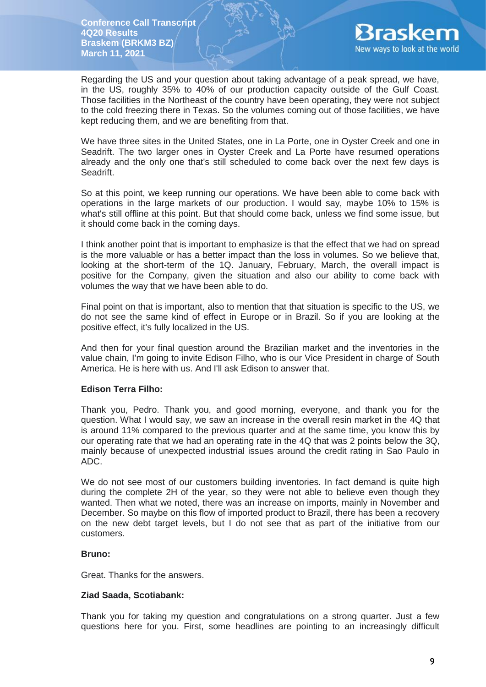

Regarding the US and your question about taking advantage of a peak spread, we have, in the US, roughly 35% to 40% of our production capacity outside of the Gulf Coast. Those facilities in the Northeast of the country have been operating, they were not subject to the cold freezing there in Texas. So the volumes coming out of those facilities, we have kept reducing them, and we are benefiting from that.

We have three sites in the United States, one in La Porte, one in Oyster Creek and one in Seadrift. The two larger ones in Oyster Creek and La Porte have resumed operations already and the only one that's still scheduled to come back over the next few days is Seadrift.

So at this point, we keep running our operations. We have been able to come back with operations in the large markets of our production. I would say, maybe 10% to 15% is what's still offline at this point. But that should come back, unless we find some issue, but it should come back in the coming days.

I think another point that is important to emphasize is that the effect that we had on spread is the more valuable or has a better impact than the loss in volumes. So we believe that, looking at the short-term of the 1Q. January, February, March, the overall impact is positive for the Company, given the situation and also our ability to come back with volumes the way that we have been able to do.

Final point on that is important, also to mention that that situation is specific to the US, we do not see the same kind of effect in Europe or in Brazil. So if you are looking at the positive effect, it's fully localized in the US.

And then for your final question around the Brazilian market and the inventories in the value chain, I'm going to invite Edison Filho, who is our Vice President in charge of South America. He is here with us. And I'll ask Edison to answer that.

# **Edison Terra Filho:**

Thank you, Pedro. Thank you, and good morning, everyone, and thank you for the question. What I would say, we saw an increase in the overall resin market in the 4Q that is around 11% compared to the previous quarter and at the same time, you know this by our operating rate that we had an operating rate in the 4Q that was 2 points below the 3Q, mainly because of unexpected industrial issues around the credit rating in Sao Paulo in ADC.

We do not see most of our customers building inventories. In fact demand is quite high during the complete 2H of the year, so they were not able to believe even though they wanted. Then what we noted, there was an increase on imports, mainly in November and December. So maybe on this flow of imported product to Brazil, there has been a recovery on the new debt target levels, but I do not see that as part of the initiative from our customers.

# **Bruno:**

Great. Thanks for the answers.

# **Ziad Saada, Scotiabank:**

Thank you for taking my question and congratulations on a strong quarter. Just a few questions here for you. First, some headlines are pointing to an increasingly difficult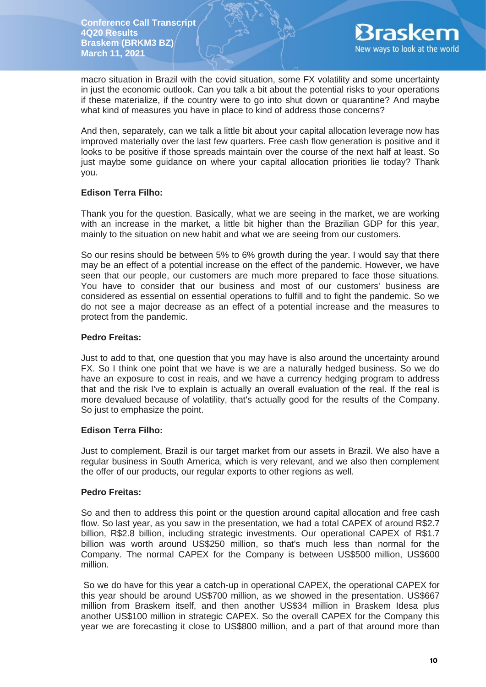

macro situation in Brazil with the covid situation, some FX volatility and some uncertainty in just the economic outlook. Can you talk a bit about the potential risks to your operations if these materialize, if the country were to go into shut down or quarantine? And maybe what kind of measures you have in place to kind of address those concerns?

And then, separately, can we talk a little bit about your capital allocation leverage now has improved materially over the last few quarters. Free cash flow generation is positive and it looks to be positive if those spreads maintain over the course of the next half at least. So just maybe some guidance on where your capital allocation priorities lie today? Thank you.

# **Edison Terra Filho:**

Thank you for the question. Basically, what we are seeing in the market, we are working with an increase in the market, a little bit higher than the Brazilian GDP for this year, mainly to the situation on new habit and what we are seeing from our customers.

So our resins should be between 5% to 6% growth during the year. I would say that there may be an effect of a potential increase on the effect of the pandemic. However, we have seen that our people, our customers are much more prepared to face those situations. You have to consider that our business and most of our customers' business are considered as essential on essential operations to fulfill and to fight the pandemic. So we do not see a major decrease as an effect of a potential increase and the measures to protect from the pandemic.

# **Pedro Freitas:**

Just to add to that, one question that you may have is also around the uncertainty around FX. So I think one point that we have is we are a naturally hedged business. So we do have an exposure to cost in reais, and we have a currency hedging program to address that and the risk I've to explain is actually an overall evaluation of the real. If the real is more devalued because of volatility, that's actually good for the results of the Company. So just to emphasize the point.

# **Edison Terra Filho:**

Just to complement, Brazil is our target market from our assets in Brazil. We also have a regular business in South America, which is very relevant, and we also then complement the offer of our products, our regular exports to other regions as well.

# **Pedro Freitas:**

So and then to address this point or the question around capital allocation and free cash flow. So last year, as you saw in the presentation, we had a total CAPEX of around R\$2.7 billion, R\$2.8 billion, including strategic investments. Our operational CAPEX of R\$1.7 billion was worth around US\$250 million, so that's much less than normal for the Company. The normal CAPEX for the Company is between US\$500 million, US\$600 million.

So we do have for this year a catch-up in operational CAPEX, the operational CAPEX for this year should be around US\$700 million, as we showed in the presentation. US\$667 million from Braskem itself, and then another US\$34 million in Braskem Idesa plus another US\$100 million in strategic CAPEX. So the overall CAPEX for the Company this year we are forecasting it close to US\$800 million, and a part of that around more than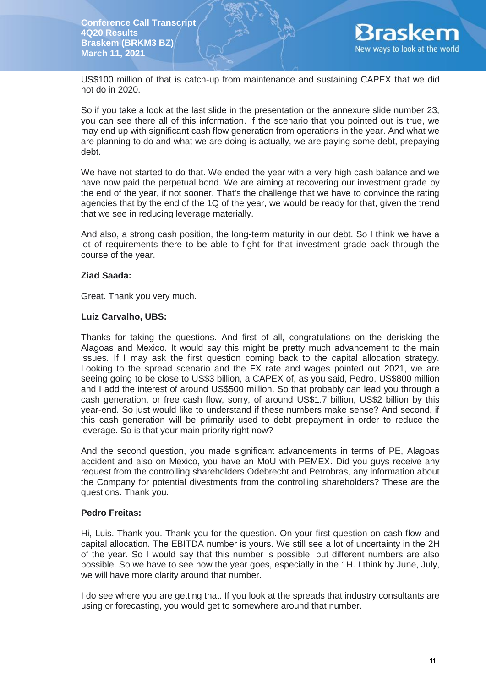

US\$100 million of that is catch-up from maintenance and sustaining CAPEX that we did not do in 2020.

So if you take a look at the last slide in the presentation or the annexure slide number 23, you can see there all of this information. If the scenario that you pointed out is true, we may end up with significant cash flow generation from operations in the year. And what we are planning to do and what we are doing is actually, we are paying some debt, prepaying debt.

We have not started to do that. We ended the year with a very high cash balance and we have now paid the perpetual bond. We are aiming at recovering our investment grade by the end of the year, if not sooner. That's the challenge that we have to convince the rating agencies that by the end of the 1Q of the year, we would be ready for that, given the trend that we see in reducing leverage materially.

And also, a strong cash position, the long-term maturity in our debt. So I think we have a lot of requirements there to be able to fight for that investment grade back through the course of the year.

## **Ziad Saada:**

Great. Thank you very much.

## **Luiz Carvalho, UBS:**

Thanks for taking the questions. And first of all, congratulations on the derisking the Alagoas and Mexico. It would say this might be pretty much advancement to the main issues. If I may ask the first question coming back to the capital allocation strategy. Looking to the spread scenario and the FX rate and wages pointed out 2021, we are seeing going to be close to US\$3 billion, a CAPEX of, as you said, Pedro, US\$800 million and I add the interest of around US\$500 million. So that probably can lead you through a cash generation, or free cash flow, sorry, of around US\$1.7 billion, US\$2 billion by this year-end. So just would like to understand if these numbers make sense? And second, if this cash generation will be primarily used to debt prepayment in order to reduce the leverage. So is that your main priority right now?

And the second question, you made significant advancements in terms of PE, Alagoas accident and also on Mexico, you have an MoU with PEMEX. Did you guys receive any request from the controlling shareholders Odebrecht and Petrobras, any information about the Company for potential divestments from the controlling shareholders? These are the questions. Thank you.

### **Pedro Freitas:**

Hi, Luis. Thank you. Thank you for the question. On your first question on cash flow and capital allocation. The EBITDA number is yours. We still see a lot of uncertainty in the 2H of the year. So I would say that this number is possible, but different numbers are also possible. So we have to see how the year goes, especially in the 1H. I think by June, July, we will have more clarity around that number.

I do see where you are getting that. If you look at the spreads that industry consultants are using or forecasting, you would get to somewhere around that number.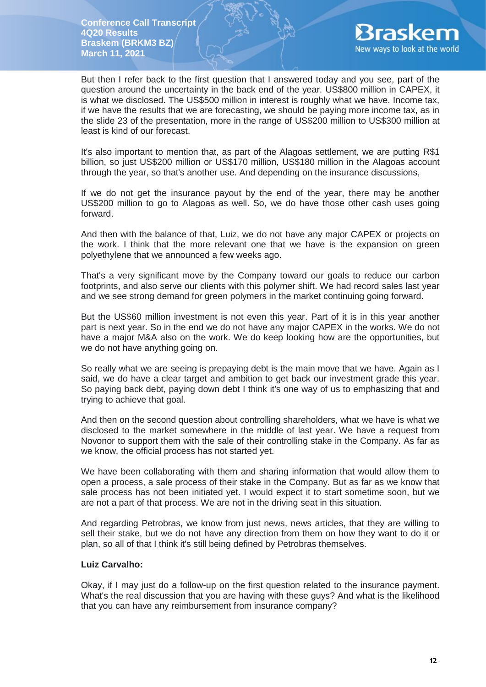

But then I refer back to the first question that I answered today and you see, part of the question around the uncertainty in the back end of the year. US\$800 million in CAPEX, it is what we disclosed. The US\$500 million in interest is roughly what we have. Income tax, if we have the results that we are forecasting, we should be paying more income tax, as in the slide 23 of the presentation, more in the range of US\$200 million to US\$300 million at least is kind of our forecast.

It's also important to mention that, as part of the Alagoas settlement, we are putting R\$1 billion, so just US\$200 million or US\$170 million, US\$180 million in the Alagoas account through the year, so that's another use. And depending on the insurance discussions,

If we do not get the insurance payout by the end of the year, there may be another US\$200 million to go to Alagoas as well. So, we do have those other cash uses going forward.

And then with the balance of that, Luiz, we do not have any major CAPEX or projects on the work. I think that the more relevant one that we have is the expansion on green polyethylene that we announced a few weeks ago.

That's a very significant move by the Company toward our goals to reduce our carbon footprints, and also serve our clients with this polymer shift. We had record sales last year and we see strong demand for green polymers in the market continuing going forward.

But the US\$60 million investment is not even this year. Part of it is in this year another part is next year. So in the end we do not have any major CAPEX in the works. We do not have a major M&A also on the work. We do keep looking how are the opportunities, but we do not have anything going on.

So really what we are seeing is prepaying debt is the main move that we have. Again as I said, we do have a clear target and ambition to get back our investment grade this year. So paying back debt, paying down debt I think it's one way of us to emphasizing that and trying to achieve that goal.

And then on the second question about controlling shareholders, what we have is what we disclosed to the market somewhere in the middle of last year. We have a request from Novonor to support them with the sale of their controlling stake in the Company. As far as we know, the official process has not started yet.

We have been collaborating with them and sharing information that would allow them to open a process, a sale process of their stake in the Company. But as far as we know that sale process has not been initiated yet. I would expect it to start sometime soon, but we are not a part of that process. We are not in the driving seat in this situation.

And regarding Petrobras, we know from just news, news articles, that they are willing to sell their stake, but we do not have any direction from them on how they want to do it or plan, so all of that I think it's still being defined by Petrobras themselves.

# **Luiz Carvalho:**

Okay, if I may just do a follow-up on the first question related to the insurance payment. What's the real discussion that you are having with these guys? And what is the likelihood that you can have any reimbursement from insurance company?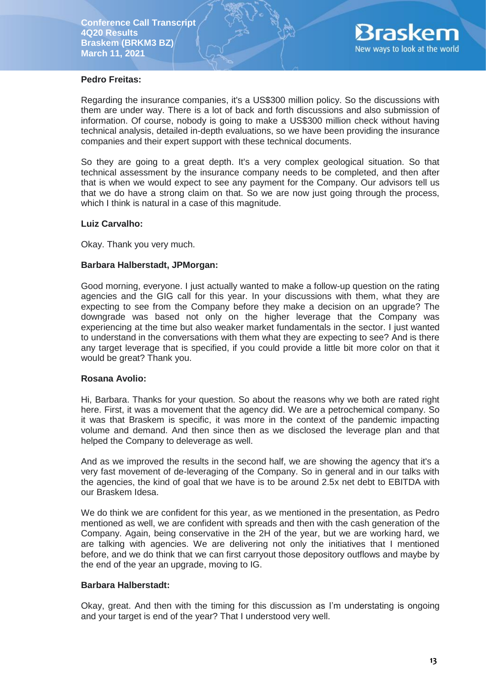

# **Pedro Freitas:**

Regarding the insurance companies, it's a US\$300 million policy. So the discussions with them are under way. There is a lot of back and forth discussions and also submission of information. Of course, nobody is going to make a US\$300 million check without having technical analysis, detailed in-depth evaluations, so we have been providing the insurance companies and their expert support with these technical documents.

So they are going to a great depth. It's a very complex geological situation. So that technical assessment by the insurance company needs to be completed, and then after that is when we would expect to see any payment for the Company. Our advisors tell us that we do have a strong claim on that. So we are now just going through the process, which I think is natural in a case of this magnitude.

## **Luiz Carvalho:**

Okay. Thank you very much.

### **Barbara Halberstadt, JPMorgan:**

Good morning, everyone. I just actually wanted to make a follow-up question on the rating agencies and the GIG call for this year. In your discussions with them, what they are expecting to see from the Company before they make a decision on an upgrade? The downgrade was based not only on the higher leverage that the Company was experiencing at the time but also weaker market fundamentals in the sector. I just wanted to understand in the conversations with them what they are expecting to see? And is there any target leverage that is specified, if you could provide a little bit more color on that it would be great? Thank you.

### **Rosana Avolio:**

Hi, Barbara. Thanks for your question. So about the reasons why we both are rated right here. First, it was a movement that the agency did. We are a petrochemical company. So it was that Braskem is specific, it was more in the context of the pandemic impacting volume and demand. And then since then as we disclosed the leverage plan and that helped the Company to deleverage as well.

And as we improved the results in the second half, we are showing the agency that it's a very fast movement of de-leveraging of the Company. So in general and in our talks with the agencies, the kind of goal that we have is to be around 2.5x net debt to EBITDA with our Braskem Idesa.

We do think we are confident for this year, as we mentioned in the presentation, as Pedro mentioned as well, we are confident with spreads and then with the cash generation of the Company. Again, being conservative in the 2H of the year, but we are working hard, we are talking with agencies. We are delivering not only the initiatives that I mentioned before, and we do think that we can first carryout those depository outflows and maybe by the end of the year an upgrade, moving to IG.

## **Barbara Halberstadt:**

Okay, great. And then with the timing for this discussion as I'm understating is ongoing and your target is end of the year? That I understood very well.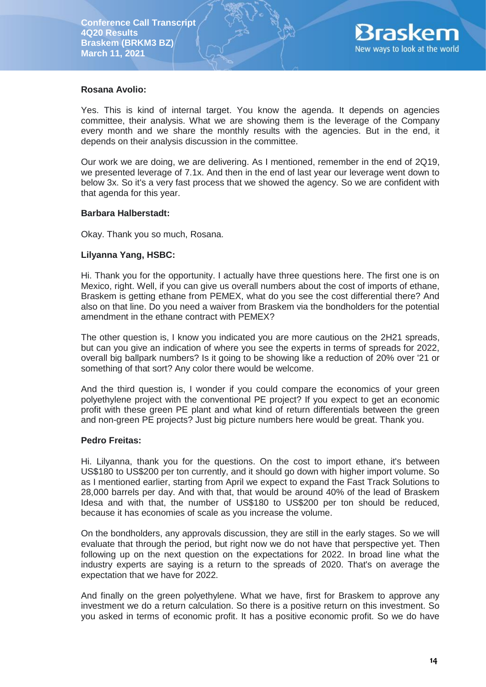

### **Rosana Avolio:**

Yes. This is kind of internal target. You know the agenda. It depends on agencies committee, their analysis. What we are showing them is the leverage of the Company every month and we share the monthly results with the agencies. But in the end, it depends on their analysis discussion in the committee.

Our work we are doing, we are delivering. As I mentioned, remember in the end of 2Q19, we presented leverage of 7.1x. And then in the end of last year our leverage went down to below 3x. So it's a very fast process that we showed the agency. So we are confident with that agenda for this year.

### **Barbara Halberstadt:**

Okay. Thank you so much, Rosana.

## **Lilyanna Yang, HSBC:**

Hi. Thank you for the opportunity. I actually have three questions here. The first one is on Mexico, right. Well, if you can give us overall numbers about the cost of imports of ethane, Braskem is getting ethane from PEMEX, what do you see the cost differential there? And also on that line. Do you need a waiver from Braskem via the bondholders for the potential amendment in the ethane contract with PEMEX?

The other question is, I know you indicated you are more cautious on the 2H21 spreads, but can you give an indication of where you see the experts in terms of spreads for 2022, overall big ballpark numbers? Is it going to be showing like a reduction of 20% over '21 or something of that sort? Any color there would be welcome.

And the third question is, I wonder if you could compare the economics of your green polyethylene project with the conventional PE project? If you expect to get an economic profit with these green PE plant and what kind of return differentials between the green and non-green PE projects? Just big picture numbers here would be great. Thank you.

### **Pedro Freitas:**

Hi. Lilyanna, thank you for the questions. On the cost to import ethane, it's between US\$180 to US\$200 per ton currently, and it should go down with higher import volume. So as I mentioned earlier, starting from April we expect to expand the Fast Track Solutions to 28,000 barrels per day. And with that, that would be around 40% of the lead of Braskem Idesa and with that, the number of US\$180 to US\$200 per ton should be reduced, because it has economies of scale as you increase the volume.

On the bondholders, any approvals discussion, they are still in the early stages. So we will evaluate that through the period, but right now we do not have that perspective yet. Then following up on the next question on the expectations for 2022. In broad line what the industry experts are saying is a return to the spreads of 2020. That's on average the expectation that we have for 2022.

And finally on the green polyethylene. What we have, first for Braskem to approve any investment we do a return calculation. So there is a positive return on this investment. So you asked in terms of economic profit. It has a positive economic profit. So we do have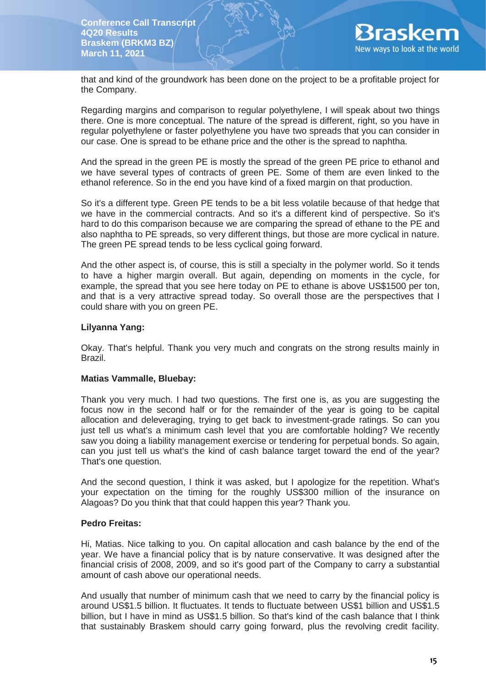

that and kind of the groundwork has been done on the project to be a profitable project for the Company.

Regarding margins and comparison to regular polyethylene, I will speak about two things there. One is more conceptual. The nature of the spread is different, right, so you have in regular polyethylene or faster polyethylene you have two spreads that you can consider in our case. One is spread to be ethane price and the other is the spread to naphtha.

And the spread in the green PE is mostly the spread of the green PE price to ethanol and we have several types of contracts of green PE. Some of them are even linked to the ethanol reference. So in the end you have kind of a fixed margin on that production.

So it's a different type. Green PE tends to be a bit less volatile because of that hedge that we have in the commercial contracts. And so it's a different kind of perspective. So it's hard to do this comparison because we are comparing the spread of ethane to the PE and also naphtha to PE spreads, so very different things, but those are more cyclical in nature. The green PE spread tends to be less cyclical going forward.

And the other aspect is, of course, this is still a specialty in the polymer world. So it tends to have a higher margin overall. But again, depending on moments in the cycle, for example, the spread that you see here today on PE to ethane is above US\$1500 per ton, and that is a very attractive spread today. So overall those are the perspectives that I could share with you on green PE.

## **Lilyanna Yang:**

Okay. That's helpful. Thank you very much and congrats on the strong results mainly in Brazil.

### **Matias Vammalle, Bluebay:**

Thank you very much. I had two questions. The first one is, as you are suggesting the focus now in the second half or for the remainder of the year is going to be capital allocation and deleveraging, trying to get back to investment-grade ratings. So can you just tell us what's a minimum cash level that you are comfortable holding? We recently saw you doing a liability management exercise or tendering for perpetual bonds. So again, can you just tell us what's the kind of cash balance target toward the end of the year? That's one question.

And the second question, I think it was asked, but I apologize for the repetition. What's your expectation on the timing for the roughly US\$300 million of the insurance on Alagoas? Do you think that that could happen this year? Thank you.

### **Pedro Freitas:**

Hi, Matias. Nice talking to you. On capital allocation and cash balance by the end of the year. We have a financial policy that is by nature conservative. It was designed after the financial crisis of 2008, 2009, and so it's good part of the Company to carry a substantial amount of cash above our operational needs.

And usually that number of minimum cash that we need to carry by the financial policy is around US\$1.5 billion. It fluctuates. It tends to fluctuate between US\$1 billion and US\$1.5 billion, but I have in mind as US\$1.5 billion. So that's kind of the cash balance that I think that sustainably Braskem should carry going forward, plus the revolving credit facility.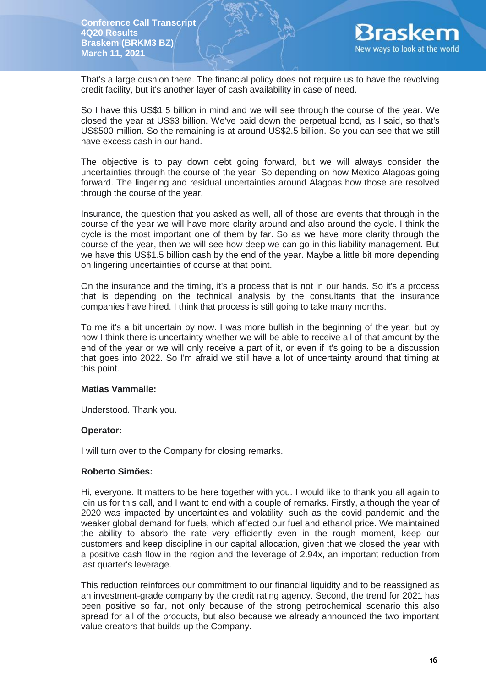

That's a large cushion there. The financial policy does not require us to have the revolving credit facility, but it's another layer of cash availability in case of need.

So I have this US\$1.5 billion in mind and we will see through the course of the year. We closed the year at US\$3 billion. We've paid down the perpetual bond, as I said, so that's US\$500 million. So the remaining is at around US\$2.5 billion. So you can see that we still have excess cash in our hand.

The objective is to pay down debt going forward, but we will always consider the uncertainties through the course of the year. So depending on how Mexico Alagoas going forward. The lingering and residual uncertainties around Alagoas how those are resolved through the course of the year.

Insurance, the question that you asked as well, all of those are events that through in the course of the year we will have more clarity around and also around the cycle. I think the cycle is the most important one of them by far. So as we have more clarity through the course of the year, then we will see how deep we can go in this liability management. But we have this US\$1.5 billion cash by the end of the year. Maybe a little bit more depending on lingering uncertainties of course at that point.

On the insurance and the timing, it's a process that is not in our hands. So it's a process that is depending on the technical analysis by the consultants that the insurance companies have hired. I think that process is still going to take many months.

To me it's a bit uncertain by now. I was more bullish in the beginning of the year, but by now I think there is uncertainty whether we will be able to receive all of that amount by the end of the year or we will only receive a part of it, or even if it's going to be a discussion that goes into 2022. So I'm afraid we still have a lot of uncertainty around that timing at this point.

### **Matias Vammalle:**

Understood. Thank you.

### **Operator:**

I will turn over to the Company for closing remarks.

# **Roberto Simões:**

Hi, everyone. It matters to be here together with you. I would like to thank you all again to join us for this call, and I want to end with a couple of remarks. Firstly, although the year of 2020 was impacted by uncertainties and volatility, such as the covid pandemic and the weaker global demand for fuels, which affected our fuel and ethanol price. We maintained the ability to absorb the rate very efficiently even in the rough moment, keep our customers and keep discipline in our capital allocation, given that we closed the year with a positive cash flow in the region and the leverage of 2.94x, an important reduction from last quarter's leverage.

This reduction reinforces our commitment to our financial liquidity and to be reassigned as an investment-grade company by the credit rating agency. Second, the trend for 2021 has been positive so far, not only because of the strong petrochemical scenario this also spread for all of the products, but also because we already announced the two important value creators that builds up the Company.